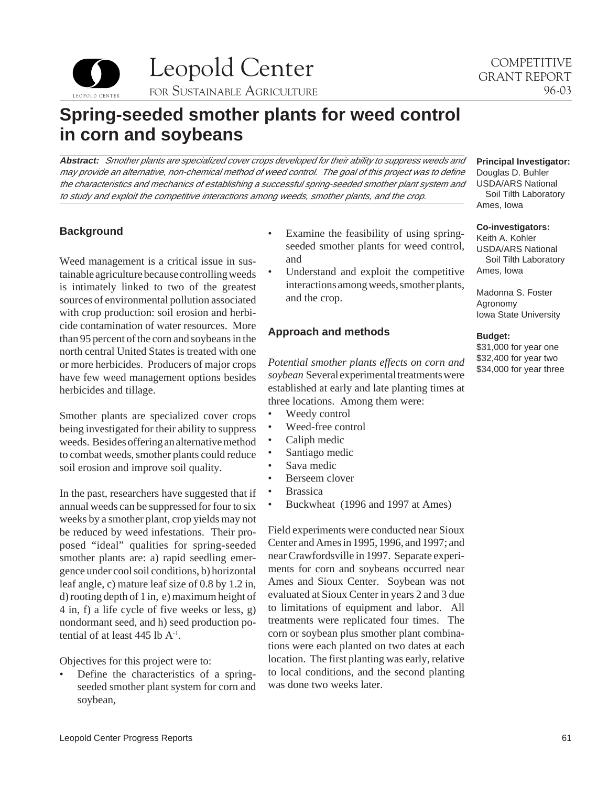Leopold Center COMPETITIVE LEOPOLD CENTER FOR SUSTAINABLE AGRICULTURE

# **Spring-seeded smother plants for weed control in corn and soybeans**

**Abstract:** Smother plants are specialized cover crops developed for their ability to suppress weeds and may provide an alternative, non-chemical method of weed control. The goal of this project was to define the characteristics and mechanics of establishing a successful spring-seeded smother plant system and to study and exploit the competitive interactions among weeds, smother plants, and the crop.

# **Background**

Weed management is a critical issue in sustainable agriculture because controlling weeds is intimately linked to two of the greatest sources of environmental pollution associated with crop production: soil erosion and herbicide contamination of water resources. More than 95 percent of the corn and soybeans in the north central United States is treated with one or more herbicides. Producers of major crops have few weed management options besides herbicides and tillage.

Smother plants are specialized cover crops being investigated for their ability to suppress weeds. Besides offering an alternative method to combat weeds, smother plants could reduce soil erosion and improve soil quality.

In the past, researchers have suggested that if annual weeds can be suppressed for four to six weeks by a smother plant, crop yields may not be reduced by weed infestations. Their proposed "ideal" qualities for spring-seeded smother plants are: a) rapid seedling emergence under cool soil conditions, b) horizontal leaf angle, c) mature leaf size of 0.8 by 1.2 in, d) rooting depth of 1 in, e) maximum height of 4 in, f) a life cycle of five weeks or less, g) nondormant seed, and h) seed production potential of at least 445 lb  $A^{-1}$ .

Objectives for this project were to:

Define the characteristics of a springseeded smother plant system for corn and soybean,

- Examine the feasibility of using springseeded smother plants for weed control, and
- Understand and exploit the competitive interactions among weeds, smother plants, and the crop.

# **Approach and methods**

*Potential smother plants effects on corn and soybean* Several experimental treatments were established at early and late planting times at three locations. Among them were:

- Weedy control
- Weed-free control
- Caliph medic
- Santiago medic
- Sava medic
- Berseem clover
- **Brassica**
- Buckwheat (1996 and 1997 at Ames)

Field experiments were conducted near Sioux Center and Ames in 1995, 1996, and 1997; and near Crawfordsville in 1997. Separate experiments for corn and soybeans occurred near Ames and Sioux Center. Soybean was not evaluated at Sioux Center in years 2 and 3 due to limitations of equipment and labor. All treatments were replicated four times. The corn or soybean plus smother plant combinations were each planted on two dates at each location. The first planting was early, relative to local conditions, and the second planting was done two weeks later.

Douglas D. Buhler USDA/ARS National Soil Tilth Laboratory Ames, Iowa

**Principal Investigator:** 

#### **Co-investigators:**

Keith A. Kohler USDA/ARS National Soil Tilth Laboratory Ames, Iowa

Madonna S. Foster Agronomy Iowa State University

#### **Budget:**

\$31,000 for year one \$32,400 for year two \$34,000 for year three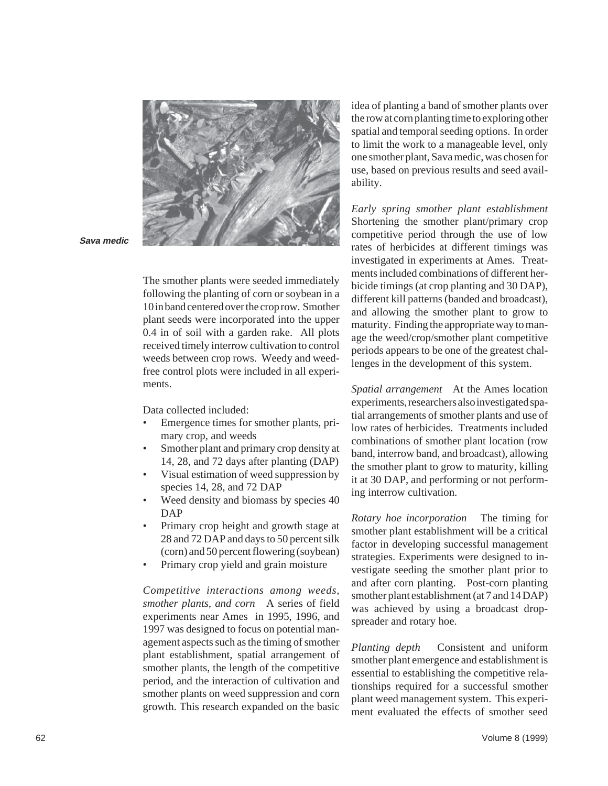

**Sava medic** 

The smother plants were seeded immediately following the planting of corn or soybean in a 10 in band centered over the crop row. Smother plant seeds were incorporated into the upper 0.4 in of soil with a garden rake. All plots received timely interrow cultivation to control weeds between crop rows. Weedy and weedfree control plots were included in all experiments.

Data collected included:

- Emergence times for smother plants, primary crop, and weeds
- Smother plant and primary crop density at 14, 28, and 72 days after planting (DAP)
- Visual estimation of weed suppression by species 14, 28, and 72 DAP
- Weed density and biomass by species 40 DAP
- Primary crop height and growth stage at 28 and 72 DAP and days to 50 percent silk (corn) and 50 percent flowering (soybean)
- Primary crop yield and grain moisture

*Competitive interactions among weeds, smother plants, and corn* A series of field experiments near Ames in 1995, 1996, and 1997 was designed to focus on potential management aspects such as the timing of smother plant establishment, spatial arrangement of smother plants, the length of the competitive period, and the interaction of cultivation and smother plants on weed suppression and corn growth. This research expanded on the basic

idea of planting a band of smother plants over the row at corn planting time to exploring other spatial and temporal seeding options. In order to limit the work to a manageable level, only one smother plant, Sava medic, was chosen for use, based on previous results and seed availability.

*Early spring smother plant establishment*  Shortening the smother plant/primary crop competitive period through the use of low rates of herbicides at different timings was investigated in experiments at Ames. Treatments included combinations of different herbicide timings (at crop planting and 30 DAP), different kill patterns (banded and broadcast), and allowing the smother plant to grow to maturity. Finding the appropriate way to manage the weed/crop/smother plant competitive periods appears to be one of the greatest challenges in the development of this system.

*Spatial arrangement* At the Ames location experiments, researchers also investigated spatial arrangements of smother plants and use of low rates of herbicides. Treatments included combinations of smother plant location (row band, interrow band, and broadcast), allowing the smother plant to grow to maturity, killing it at 30 DAP, and performing or not performing interrow cultivation.

*Rotary hoe incorporation* The timing for smother plant establishment will be a critical factor in developing successful management strategies. Experiments were designed to investigate seeding the smother plant prior to and after corn planting. Post-corn planting smother plant establishment (at 7 and 14 DAP) was achieved by using a broadcast dropspreader and rotary hoe.

*Planting depth* Consistent and uniform smother plant emergence and establishment is essential to establishing the competitive relationships required for a successful smother plant weed management system. This experiment evaluated the effects of smother seed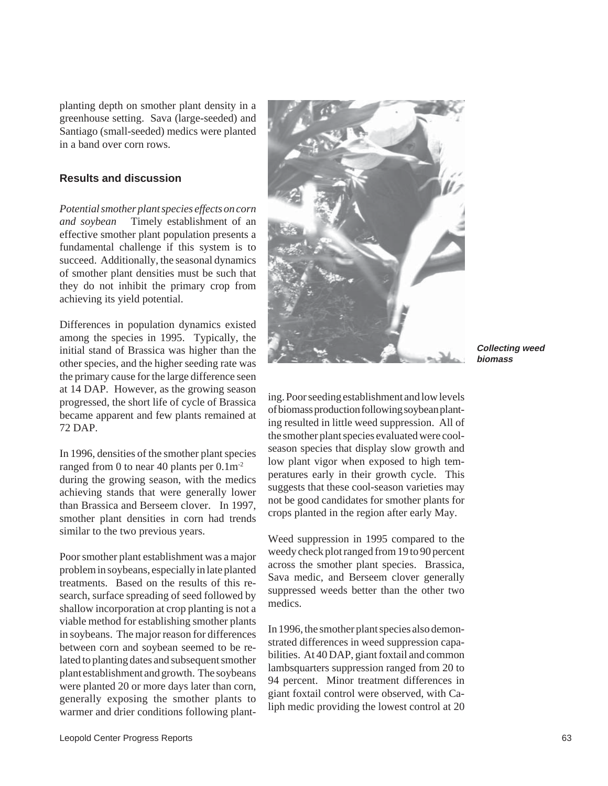planting depth on smother plant density in a greenhouse setting. Sava (large-seeded) and Santiago (small-seeded) medics were planted in a band over corn rows.

## **Results and discussion**

*Potential smother plant species effects on corn and soybean* Timely establishment of an effective smother plant population presents a fundamental challenge if this system is to succeed. Additionally, the seasonal dynamics of smother plant densities must be such that they do not inhibit the primary crop from achieving its yield potential.

Differences in population dynamics existed among the species in 1995. Typically, the initial stand of Brassica was higher than the other species, and the higher seeding rate was the primary cause for the large difference seen at 14 DAP. However, as the growing season progressed, the short life of cycle of Brassica became apparent and few plants remained at 72 DAP.

In 1996, densities of the smother plant species ranged from 0 to near 40 plants per  $0.1 \text{m}^{-2}$ during the growing season, with the medics achieving stands that were generally lower than Brassica and Berseem clover. In 1997, smother plant densities in corn had trends similar to the two previous years.

Poor smother plant establishment was a major problem in soybeans, especially in late planted treatments. Based on the results of this research, surface spreading of seed followed by shallow incorporation at crop planting is not a viable method for establishing smother plants in soybeans. The major reason for differences between corn and soybean seemed to be related to planting dates and subsequent smother plant establishment and growth. The soybeans were planted 20 or more days later than corn, generally exposing the smother plants to warmer and drier conditions following plant-



**Collecting weed biomass** 

ing. Poor seeding establishment and low levels of biomass production following soybean planting resulted in little weed suppression. All of the smother plant species evaluated were coolseason species that display slow growth and low plant vigor when exposed to high temperatures early in their growth cycle. This suggests that these cool-season varieties may not be good candidates for smother plants for crops planted in the region after early May.

Weed suppression in 1995 compared to the weedy check plot ranged from 19 to 90 percent across the smother plant species. Brassica, Sava medic, and Berseem clover generally suppressed weeds better than the other two medics.

In 1996, the smother plant species also demonstrated differences in weed suppression capabilities. At 40 DAP, giant foxtail and common lambsquarters suppression ranged from 20 to 94 percent. Minor treatment differences in giant foxtail control were observed, with Caliph medic providing the lowest control at 20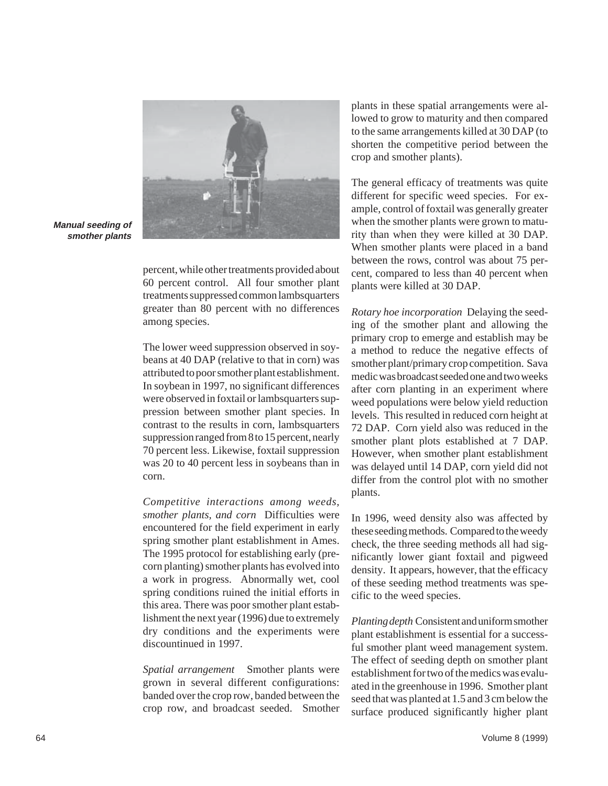

**Manual seeding of smother plants** 

> percent, while other treatments provided about 60 percent control. All four smother plant treatments suppressed common lambsquarters greater than 80 percent with no differences among species.

The lower weed suppression observed in soybeans at 40 DAP (relative to that in corn) was attributed to poor smother plant establishment. In soybean in 1997, no significant differences were observed in foxtail or lambsquarters suppression between smother plant species. In contrast to the results in corn, lambsquarters suppression ranged from 8 to 15 percent, nearly 70 percent less. Likewise, foxtail suppression was 20 to 40 percent less in soybeans than in corn.

*Competitive interactions among weeds, smother plants, and corn* Difficulties were encountered for the field experiment in early spring smother plant establishment in Ames. The 1995 protocol for establishing early (precorn planting) smother plants has evolved into a work in progress. Abnormally wet, cool spring conditions ruined the initial efforts in this area. There was poor smother plant establishment the next year (1996) due to extremely dry conditions and the experiments were discountinued in 1997.

*Spatial arrangement* Smother plants were grown in several different configurations: banded over the crop row, banded between the crop row, and broadcast seeded. Smother

plants in these spatial arrangements were allowed to grow to maturity and then compared to the same arrangements killed at 30 DAP (to shorten the competitive period between the crop and smother plants).

The general efficacy of treatments was quite different for specific weed species. For example, control of foxtail was generally greater when the smother plants were grown to maturity than when they were killed at 30 DAP. When smother plants were placed in a band between the rows, control was about 75 percent, compared to less than 40 percent when plants were killed at 30 DAP.

*Rotary hoe incorporation* Delaying the seeding of the smother plant and allowing the primary crop to emerge and establish may be a method to reduce the negative effects of smother plant/primary crop competition. Sava medic was broadcast seeded one and two weeks after corn planting in an experiment where weed populations were below yield reduction levels. This resulted in reduced corn height at 72 DAP. Corn yield also was reduced in the smother plant plots established at 7 DAP. However, when smother plant establishment was delayed until 14 DAP, corn yield did not differ from the control plot with no smother plants.

In 1996, weed density also was affected by these seeding methods. Compared to the weedy check, the three seeding methods all had significantly lower giant foxtail and pigweed density. It appears, however, that the efficacy of these seeding method treatments was specific to the weed species.

*Planting depth* Consistent and uniform smother plant establishment is essential for a successful smother plant weed management system. The effect of seeding depth on smother plant establishment for two of the medics was evaluated in the greenhouse in 1996. Smother plant seed that was planted at 1.5 and 3 cm below the surface produced significantly higher plant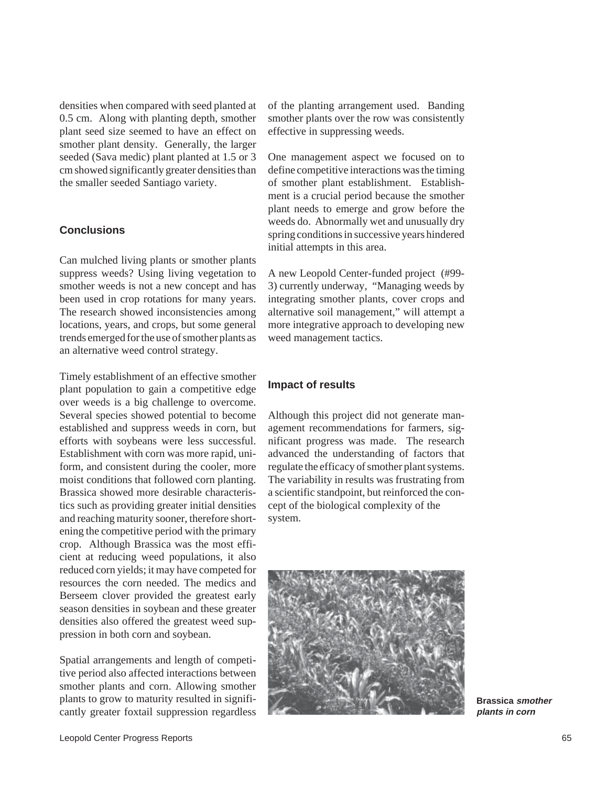densities when compared with seed planted at 0.5 cm. Along with planting depth, smother plant seed size seemed to have an effect on smother plant density. Generally, the larger seeded (Sava medic) plant planted at 1.5 or 3 cm showed significantly greater densities than the smaller seeded Santiago variety.

## **Conclusions**

Can mulched living plants or smother plants suppress weeds? Using living vegetation to smother weeds is not a new concept and has been used in crop rotations for many years. The research showed inconsistencies among locations, years, and crops, but some general trends emerged for the use of smother plants as an alternative weed control strategy.

Timely establishment of an effective smother plant population to gain a competitive edge over weeds is a big challenge to overcome. Several species showed potential to become established and suppress weeds in corn, but efforts with soybeans were less successful. Establishment with corn was more rapid, uniform, and consistent during the cooler, more moist conditions that followed corn planting. Brassica showed more desirable characteristics such as providing greater initial densities and reaching maturity sooner, therefore shortening the competitive period with the primary crop. Although Brassica was the most efficient at reducing weed populations, it also reduced corn yields; it may have competed for resources the corn needed. The medics and Berseem clover provided the greatest early season densities in soybean and these greater densities also offered the greatest weed suppression in both corn and soybean.

Spatial arrangements and length of competitive period also affected interactions between smother plants and corn. Allowing smother plants to grow to maturity resulted in significantly greater foxtail suppression regardless of the planting arrangement used. Banding smother plants over the row was consistently effective in suppressing weeds.

One management aspect we focused on to define competitive interactions was the timing of smother plant establishment. Establishment is a crucial period because the smother plant needs to emerge and grow before the weeds do. Abnormally wet and unusually dry spring conditions in successive years hindered initial attempts in this area.

A new Leopold Center-funded project (#99 3) currently underway, "Managing weeds by integrating smother plants, cover crops and alternative soil management," will attempt a more integrative approach to developing new weed management tactics.

### **Impact of results**

Although this project did not generate management recommendations for farmers, significant progress was made. The research advanced the understanding of factors that regulate the efficacy of smother plant systems. The variability in results was frustrating from a scientific standpoint, but reinforced the concept of the biological complexity of the system.



**Brassica smother plants in corn**